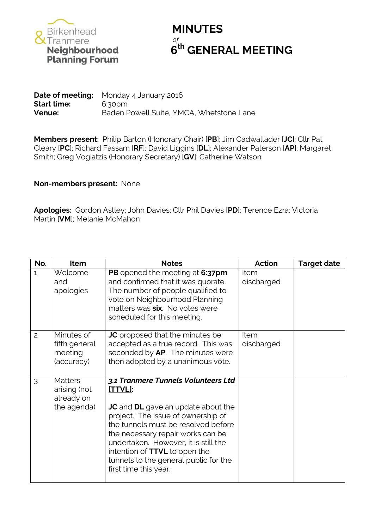

## **MINUTES** *of* **th GENERAL MEETING**

**Date of meeting:** Monday 4 January 2016 **Start time:** 6:30pm **Venue:** Baden Powell Suite, YMCA, Whetstone Lane

**Members present:** Philip Barton (Honorary Chair) [**PB**]; Jim Cadwallader [**JC**]; Cllr Pat Cleary [**PC**]; Richard Fassam [**RF**]; David Liggins [**DL**]; Alexander Paterson [**AP**]; Margaret Smith; Greg Vogiatzis (Honorary Secretary) [**GV**]; Catherine Watson

## **Non-members present:** None

**Apologies:** Gordon Astley; John Davies; Cllr Phil Davies [**PD**]; Terence Ezra; Victoria Martin [**VM**]; Melanie McMahon

| No.            | <b>Item</b>                                                 | <b>Notes</b>                                                                                                                                                                                                                                                                                                                                                    | <b>Action</b>      | <b>Target date</b> |
|----------------|-------------------------------------------------------------|-----------------------------------------------------------------------------------------------------------------------------------------------------------------------------------------------------------------------------------------------------------------------------------------------------------------------------------------------------------------|--------------------|--------------------|
| $\mathbf{1}$   | Welcome<br>and<br>apologies                                 | PB opened the meeting at 6:37pm<br>and confirmed that it was quorate.<br>The number of people qualified to<br>vote on Neighbourhood Planning<br>matters was six. No votes were<br>scheduled for this meeting.                                                                                                                                                   | Item<br>discharged |                    |
| $\overline{c}$ | Minutes of<br>fifth general<br>meeting<br>(accuracy)        | <b>JC</b> proposed that the minutes be<br>accepted as a true record. This was<br>seconded by AP. The minutes were<br>then adopted by a unanimous vote.                                                                                                                                                                                                          | Item<br>discharged |                    |
| 3              | <b>Matters</b><br>arising (not<br>already on<br>the agenda) | 3.1 Tranmere Tunnels Volunteers Ltd<br>[TTVL]:<br><b>JC</b> and <b>DL</b> gave an update about the<br>project. The issue of ownership of<br>the tunnels must be resolved before<br>the necessary repair works can be<br>undertaken. However, it is still the<br>intention of TTVL to open the<br>tunnels to the general public for the<br>first time this year. |                    |                    |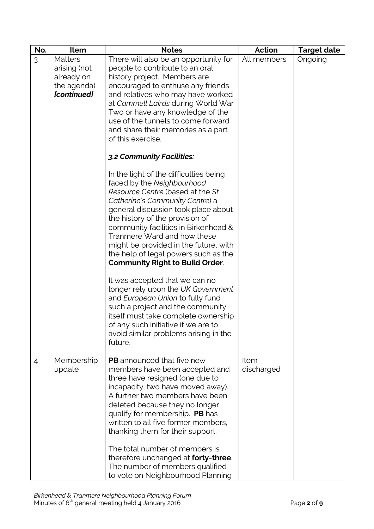| No. | Item                                                                       | <b>Notes</b>                                                                                                                                                                                                                                                                                                                                                                                                                                                                           | <b>Action</b>      | <b>Target date</b> |
|-----|----------------------------------------------------------------------------|----------------------------------------------------------------------------------------------------------------------------------------------------------------------------------------------------------------------------------------------------------------------------------------------------------------------------------------------------------------------------------------------------------------------------------------------------------------------------------------|--------------------|--------------------|
| 3   | <b>Matters</b><br>arising (not<br>already on<br>the agenda)<br>[continued] | There will also be an opportunity for<br>people to contribute to an oral<br>history project. Members are<br>encouraged to enthuse any friends<br>and relatives who may have worked<br>at Cammell Lairds during World War<br>Two or have any knowledge of the<br>use of the tunnels to come forward<br>and share their memories as a part<br>of this exercise.                                                                                                                          | All members        | Ongoing            |
|     |                                                                            | 3.2 Community Facilities:                                                                                                                                                                                                                                                                                                                                                                                                                                                              |                    |                    |
|     |                                                                            | In the light of the difficulties being<br>faced by the Neighbourhood<br>Resource Centre (based at the St<br>Catherine's Community Centre) a<br>general discussion took place about<br>the history of the provision of<br>community facilities in Birkenhead &<br>Tranmere Ward and how these<br>might be provided in the future, with<br>the help of legal powers such as the<br><b>Community Right to Build Order.</b>                                                                |                    |                    |
|     |                                                                            | It was accepted that we can no<br>longer rely upon the UK Government<br>and European Union to fully fund<br>such a project and the community<br>itself must take complete ownership<br>of any such initiative if we are to<br>avoid similar problems arising in the<br>future.                                                                                                                                                                                                         |                    |                    |
| 4   | Membership<br>update                                                       | <b>PB</b> announced that five new<br>members have been accepted and<br>three have resigned (one due to<br>incapacity; two have moved away).<br>A further two members have been<br>deleted because they no longer<br>qualify for membership. PB has<br>written to all five former members,<br>thanking them for their support.<br>The total number of members is<br>therefore unchanged at <b>forty-three</b> .<br>The number of members qualified<br>to vote on Neighbourhood Planning | Item<br>discharged |                    |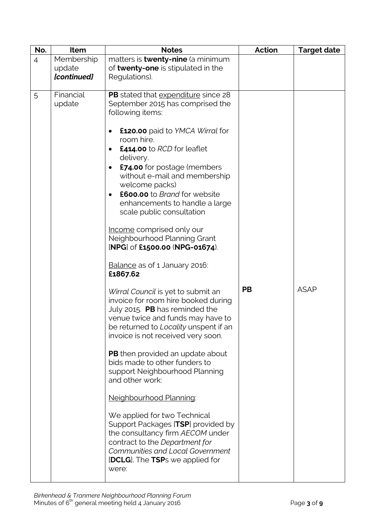| No.            | Item        | <b>Notes</b>                                                          | <b>Action</b> | <b>Target date</b> |
|----------------|-------------|-----------------------------------------------------------------------|---------------|--------------------|
| $\overline{4}$ | Membership  | matters is <b>twenty-nine</b> (a minimum                              |               |                    |
|                | update      | of <b>twenty-one</b> is stipulated in the                             |               |                    |
|                | [continued] | Regulations).                                                         |               |                    |
|                |             |                                                                       |               |                    |
| 5              | Financial   | PB stated that expenditure since 28                                   |               |                    |
|                | update      | September 2015 has comprised the                                      |               |                    |
|                |             | following items:                                                      |               |                    |
|                |             | <b>£120.00</b> paid to YMCA Wirral for                                |               |                    |
|                |             | room hire.                                                            |               |                    |
|                |             | £414.00 to RCD for leaflet                                            |               |                    |
|                |             | delivery.                                                             |               |                    |
|                |             | <b>£74.00</b> for postage (members                                    |               |                    |
|                |             | without e-mail and membership                                         |               |                    |
|                |             | welcome packs)                                                        |               |                    |
|                |             | £600.00 to Brand for website                                          |               |                    |
|                |             | enhancements to handle a large                                        |               |                    |
|                |             | scale public consultation                                             |               |                    |
|                |             | Income comprised only our                                             |               |                    |
|                |             | Neighbourhood Planning Grant                                          |               |                    |
|                |             | [NPG] of £1500.00 (NPG-01674).                                        |               |                    |
|                |             |                                                                       |               |                    |
|                |             | Balance as of 1 January 2016:                                         |               |                    |
|                |             | £1867.62                                                              |               |                    |
|                |             |                                                                       | <b>PB</b>     | <b>ASAP</b>        |
|                |             | Wirral Council is yet to submit an                                    |               |                    |
|                |             | invoice for room hire booked during<br>July 2015. PB has reminded the |               |                    |
|                |             | venue twice and funds may have to                                     |               |                    |
|                |             | be returned to Locality unspent if an                                 |               |                    |
|                |             | invoice is not received very soon.                                    |               |                    |
|                |             |                                                                       |               |                    |
|                |             | <b>PB</b> then provided an update about                               |               |                    |
|                |             | bids made to other funders to                                         |               |                    |
|                |             | support Neighbourhood Planning<br>and other work:                     |               |                    |
|                |             |                                                                       |               |                    |
|                |             | Neighbourhood Planning:                                               |               |                    |
|                |             |                                                                       |               |                    |
|                |             | We applied for two Technical<br>Support Packages [TSP] provided by    |               |                    |
|                |             | the consultancy firm AECOM under                                      |               |                    |
|                |             | contract to the Department for                                        |               |                    |
|                |             | Communities and Local Government                                      |               |                    |
|                |             | <b>[DCLG</b> ]. The TSPs we applied for                               |               |                    |
|                |             | were:                                                                 |               |                    |
|                |             |                                                                       |               |                    |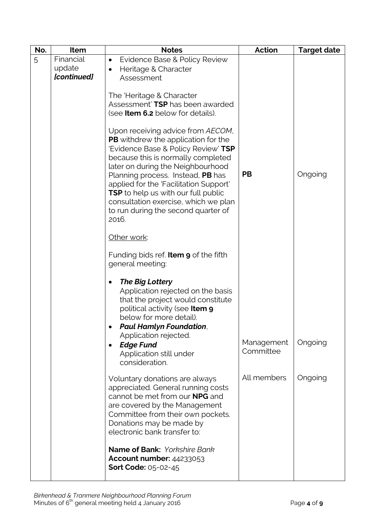| No.<br>Item                             | <b>Notes</b>                                                                                                                                                                                                                                                                                                                                                                                                                                                                                                                                                                                                                                                                                                                   | <b>Action</b>                          | <b>Target date</b> |
|-----------------------------------------|--------------------------------------------------------------------------------------------------------------------------------------------------------------------------------------------------------------------------------------------------------------------------------------------------------------------------------------------------------------------------------------------------------------------------------------------------------------------------------------------------------------------------------------------------------------------------------------------------------------------------------------------------------------------------------------------------------------------------------|----------------------------------------|--------------------|
| Financial<br>5<br>update<br>[continued] | Evidence Base & Policy Review<br>$\bullet$<br>Heritage & Character<br>Assessment<br>The 'Heritage & Character<br>Assessment' TSP has been awarded<br>(see <b>Item 6.2</b> below for details).<br>Upon receiving advice from AECOM,<br><b>PB</b> withdrew the application for the<br>'Evidence Base & Policy Review' TSP<br>because this is normally completed<br>later on during the Neighbourhood<br>Planning process. Instead, PB has<br>applied for the 'Facilitation Support'<br><b>TSP</b> to help us with our full public<br>consultation exercise, which we plan<br>to run during the second quarter of<br>2016.<br>Other work:                                                                                         | <b>PB</b>                              | Ongoing            |
|                                         | Funding bids ref. <b>Item 9</b> of the fifth<br>general meeting:<br><b>The Big Lottery</b><br>Application rejected on the basis<br>that the project would constitute<br>political activity (see Item 9<br>below for more detail).<br><b>Paul Hamlyn Foundation,</b><br>Application rejected.<br><b>Edge Fund</b><br>$\bullet$<br>Application still under<br>consideration.<br>Voluntary donations are always<br>appreciated. General running costs<br>cannot be met from our <b>NPG</b> and<br>are covered by the Management<br>Committee from their own pockets.<br>Donations may be made by<br>electronic bank transfer to:<br>Name of Bank: Yorkshire Bank<br><b>Account number: 44233053</b><br><b>Sort Code: 05-02-45</b> | Management<br>Committee<br>All members | Ongoing<br>Ongoing |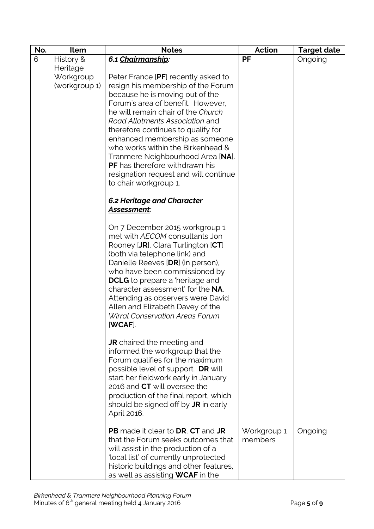| No. | Item          | <b>Notes</b>                                                          | <b>Action</b> | <b>Target date</b> |
|-----|---------------|-----------------------------------------------------------------------|---------------|--------------------|
| 6   | History &     | 6.1 Chairmanship:                                                     | PF            | Ongoing            |
|     | Heritage      |                                                                       |               |                    |
|     | Workgroup     | Peter France [PF] recently asked to                                   |               |                    |
|     | (workgroup 1) | resign his membership of the Forum                                    |               |                    |
|     |               | because he is moving out of the                                       |               |                    |
|     |               | Forum's area of benefit. However,                                     |               |                    |
|     |               | he will remain chair of the Church                                    |               |                    |
|     |               | Road Allotments Association and                                       |               |                    |
|     |               | therefore continues to qualify for                                    |               |                    |
|     |               | enhanced membership as someone                                        |               |                    |
|     |               | who works within the Birkenhead &                                     |               |                    |
|     |               | Tranmere Neighbourhood Area [NA].                                     |               |                    |
|     |               | <b>PF</b> has therefore withdrawn his                                 |               |                    |
|     |               | resignation request and will continue                                 |               |                    |
|     |               | to chair workgroup 1.                                                 |               |                    |
|     |               | 6.2 Heritage and Character                                            |               |                    |
|     |               | Assessment:                                                           |               |                    |
|     |               |                                                                       |               |                    |
|     |               | On 7 December 2015 workgroup 1                                        |               |                    |
|     |               | met with AECOM consultants Jon                                        |               |                    |
|     |               | Rooney [JR], Clara Turlington [CT]                                    |               |                    |
|     |               | (both via telephone link) and                                         |               |                    |
|     |               | Danielle Reeves [DR] (in person),                                     |               |                    |
|     |               | who have been commissioned by                                         |               |                    |
|     |               | <b>DCLG</b> to prepare a 'heritage and                                |               |                    |
|     |               | character assessment' for the NA.                                     |               |                    |
|     |               | Attending as observers were David<br>Allen and Elizabeth Davey of the |               |                    |
|     |               | <b>Wirral Conservation Areas Forum</b>                                |               |                    |
|     |               | [WCAF]                                                                |               |                    |
|     |               |                                                                       |               |                    |
|     |               | <b>JR</b> chaired the meeting and                                     |               |                    |
|     |               | informed the workgroup that the                                       |               |                    |
|     |               | Forum qualifies for the maximum                                       |               |                    |
|     |               | possible level of support. DR will                                    |               |                    |
|     |               | start her fieldwork early in January                                  |               |                    |
|     |               | 2016 and CT will oversee the                                          |               |                    |
|     |               | production of the final report, which                                 |               |                    |
|     |               | should be signed off by <b>JR</b> in early                            |               |                    |
|     |               | April 2016.                                                           |               |                    |
|     |               | <b>PB</b> made it clear to <b>DR</b> , <b>CT</b> and <b>JR</b>        | Workgroup 1   | Ongoing            |
|     |               | that the Forum seeks outcomes that                                    | members       |                    |
|     |               | will assist in the production of a                                    |               |                    |
|     |               | 'local list' of currently unprotected                                 |               |                    |
|     |               | historic buildings and other features,                                |               |                    |
|     |               | as well as assisting <b>WCAF</b> in the                               |               |                    |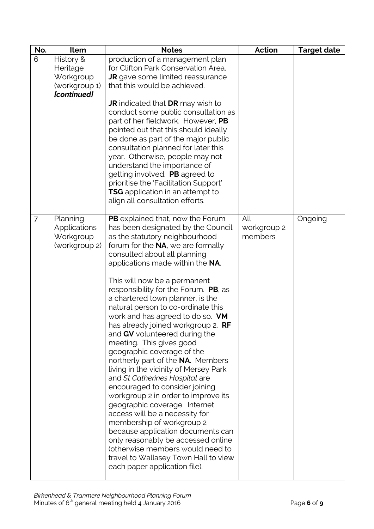| No.<br>Item                                                                     | <b>Notes</b>                                                                                                                                                                                                                                                                                                                                                                                                                                                                                                                                                                                                                                                                                                                                                                                                                                                                                                                                                                                                                                                 | <b>Action</b>                 | <b>Target date</b> |
|---------------------------------------------------------------------------------|--------------------------------------------------------------------------------------------------------------------------------------------------------------------------------------------------------------------------------------------------------------------------------------------------------------------------------------------------------------------------------------------------------------------------------------------------------------------------------------------------------------------------------------------------------------------------------------------------------------------------------------------------------------------------------------------------------------------------------------------------------------------------------------------------------------------------------------------------------------------------------------------------------------------------------------------------------------------------------------------------------------------------------------------------------------|-------------------------------|--------------------|
| 6<br>History &<br>Heritage<br>Workgroup<br>(workgroup 1)<br>[continued]         | production of a management plan<br>for Clifton Park Conservation Area.<br><b>JR</b> gave some limited reassurance<br>that this would be achieved.<br><b>JR</b> indicated that <b>DR</b> may wish to<br>conduct some public consultation as<br>part of her fieldwork. However, PB<br>pointed out that this should ideally<br>be done as part of the major public<br>consultation planned for later this<br>year. Otherwise, people may not<br>understand the importance of<br>getting involved. PB agreed to<br>prioritise the 'Facilitation Support'<br>TSG application in an attempt to                                                                                                                                                                                                                                                                                                                                                                                                                                                                     |                               |                    |
| Planning<br>$\overline{7}$<br><b>Applications</b><br>Workgroup<br>(workgroup 2) | align all consultation efforts.<br>PB explained that, now the Forum<br>has been designated by the Council<br>as the statutory neighbourhood<br>forum for the NA, we are formally<br>consulted about all planning<br>applications made within the NA.<br>This will now be a permanent<br>responsibility for the Forum. PB, as<br>a chartered town planner, is the<br>natural person to co-ordinate this<br>work and has agreed to do so. VM<br>has already joined workgroup 2. RF<br>and GV volunteered during the<br>meeting. This gives good<br>geographic coverage of the<br>northerly part of the NA. Members<br>living in the vicinity of Mersey Park<br>and St Catherines Hospital are<br>encouraged to consider joining<br>workgroup 2 in order to improve its<br>geographic coverage. Internet<br>access will be a necessity for<br>membership of workgroup 2<br>because application documents can<br>only reasonably be accessed online<br>(otherwise members would need to<br>travel to Wallasey Town Hall to view<br>each paper application file). | All<br>workgroup 2<br>members | Ongoing            |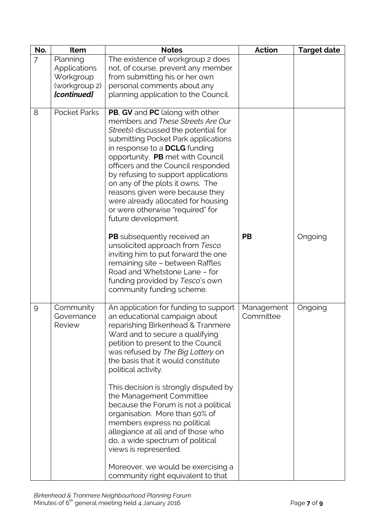| No.            | Item                                                                  | <b>Notes</b>                                                                                                                                                                                                                                                                                                                                                                                                                                                                                                                                                                                                                                         | <b>Action</b>           | <b>Target date</b> |
|----------------|-----------------------------------------------------------------------|------------------------------------------------------------------------------------------------------------------------------------------------------------------------------------------------------------------------------------------------------------------------------------------------------------------------------------------------------------------------------------------------------------------------------------------------------------------------------------------------------------------------------------------------------------------------------------------------------------------------------------------------------|-------------------------|--------------------|
| $\overline{7}$ | Planning<br>Applications<br>Workgroup<br>(workgroup 2)<br>[continued] | The existence of workgroup 2 does<br>not, of course, prevent any member<br>from submitting his or her own<br>personal comments about any<br>planning application to the Council.                                                                                                                                                                                                                                                                                                                                                                                                                                                                     |                         |                    |
| 8              | <b>Pocket Parks</b>                                                   | PB, GV and PC (along with other<br>members and These Streets Are Our<br>Streets) discussed the potential for<br>submitting Pocket Park applications<br>in response to a <b>DCLG</b> funding<br>opportunity. PB met with Council<br>officers and the Council responded<br>by refusing to support applications<br>on any of the plots it owns. The<br>reasons given were because they<br>were already allocated for housing<br>or were otherwise "required" for<br>future development.                                                                                                                                                                 |                         |                    |
|                |                                                                       | <b>PB</b> subsequently received an<br>unsolicited approach from Tesco<br>inviting him to put forward the one<br>remaining site - between Raffles<br>Road and Whetstone Lane - for<br>funding provided by Tesco's own<br>community funding scheme.                                                                                                                                                                                                                                                                                                                                                                                                    | <b>PB</b>               | Ongoing            |
| 9              | Community<br>Governance<br><b>Review</b>                              | An application for funding to support<br>an educational campaign about<br>reparishing Birkenhead & Tranmere<br>Ward and to secure a qualifying<br>petition to present to the Council<br>was refused by The Big Lottery on<br>the basis that it would constitute<br>political activity.<br>This decision is strongly disputed by<br>the Management Committee<br>because the Forum is not a political<br>organisation. More than 50% of<br>members express no political<br>allegiance at all and of those who<br>do, a wide spectrum of political<br>views is represented.<br>Moreover, we would be exercising a<br>community right equivalent to that | Management<br>Committee | Ongoing            |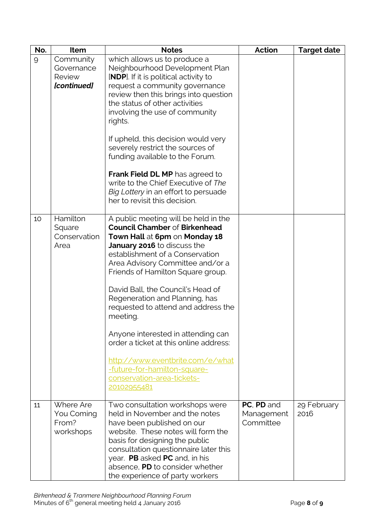| No. | Item                                                    | <b>Notes</b>                                                                                                                                                                                                                                                                                                                                                                                                                                                                                                                                                                        | <b>Action</b>                         | <b>Target date</b>  |
|-----|---------------------------------------------------------|-------------------------------------------------------------------------------------------------------------------------------------------------------------------------------------------------------------------------------------------------------------------------------------------------------------------------------------------------------------------------------------------------------------------------------------------------------------------------------------------------------------------------------------------------------------------------------------|---------------------------------------|---------------------|
| 9   | Community<br>Governance<br>Review<br><b>[continued]</b> | which allows us to produce a<br>Neighbourhood Development Plan<br><b>[NDP</b> ]. If it is political activity to<br>request a community governance<br>review then this brings into question<br>the status of other activities<br>involving the use of community<br>rights.<br>If upheld, this decision would very<br>severely restrict the sources of<br>funding available to the Forum.<br><b>Frank Field DL MP</b> has agreed to<br>write to the Chief Executive of The<br>Big Lottery in an effort to persuade<br>her to revisit this decision.                                   |                                       |                     |
| 10  | Hamilton<br>Square<br>Conservation<br>Area              | A public meeting will be held in the<br><b>Council Chamber of Birkenhead</b><br>Town Hall at 6pm on Monday 18<br>January 2016 to discuss the<br>establishment of a Conservation<br>Area Advisory Committee and/or a<br>Friends of Hamilton Square group.<br>David Ball, the Council's Head of<br>Regeneration and Planning, has<br>requested to attend and address the<br>meeting.<br>Anyone interested in attending can<br>order a ticket at this online address:<br>http://www.eventbrite.com/e/what<br>-future-for-hamilton-square-<br>conservation-area-tickets-<br>20102955481 |                                       |                     |
| 11  | Where Are<br>You Coming<br>From?<br>workshops           | Two consultation workshops were<br>held in November and the notes<br>have been published on our<br>website. These notes will form the<br>basis for designing the public<br>consultation questionnaire later this<br>year. PB asked PC and, in his<br>absence, PD to consider whether<br>the experience of party workers                                                                                                                                                                                                                                                             | PC, PD and<br>Management<br>Committee | 29 February<br>2016 |